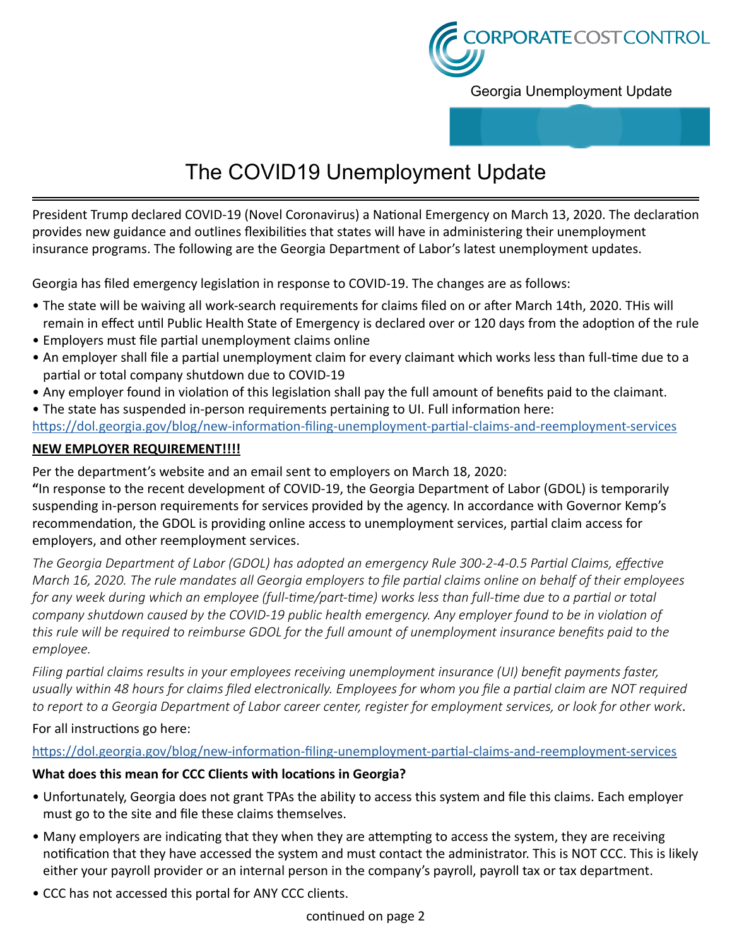

Georgia Unemployment Update

# The COVID19 Unemployment Update

President Trump declared COVID-19 (Novel Coronavirus) a National Emergency on March 13, 2020. The declaration provides new guidance and outlines flexibilities that states will have in administering their unemployment insurance programs. The following are the Georgia Department of Labor's latest unemployment updates.

Georgia has filed emergency legislation in response to COVID-19. The changes are as follows:

- The state will be waiving all work-search requirements for claims filed on or after March 14th, 2020. THis will remain in effect until Public Health State of Emergency is declared over or 120 days from the adoption of the rule
- Employers must file partial unemployment claims online
- An employer shall file a partial unemployment claim for every claimant which works less than full-time due to a partial or total company shutdown due to COVID-19
- Any employer found in violation of this legislation shall pay the full amount of benefits paid to the claimant.
- The state has suspended in-person requirements pertaining to UI. Full information here: [https://dol.georgia.gov/blog/new-information-filing-unemployment-partial-claims-and-reemployment-services](https://dol.georgia.gov/blog/new-information-filing-unemployment-partial-claims-and-reemployment-services
)

# **NEW EMPLOYER REQUIREMENT!!!!**

Per the department's website and an email sent to employers on March 18, 2020:

**"**In response to the recent development of COVID-19, the Georgia Department of Labor (GDOL) is temporarily suspending in-person requirements for services provided by the agency. In accordance with Governor Kemp's recommendation, the GDOL is providing online access to unemployment services, partial claim access for employers, and other reemployment services.

*The Georgia Department of Labor (GDOL) has adopted an emergency Rule 300-2-4-0.5 Partial Claims, effective March 16, 2020. The rule mandates all Georgia employers to file partial claims online on behalf of their employees*  for any week during which an employee (full-time/part-time) works less than full-time due to a partial or total *company shutdown caused by the COVID-19 public health emergency. Any employer found to be in violation of this rule will be required to reimburse GDOL for the full amount of unemployment insurance benefits paid to the employee.* 

*Filing partial claims results in your employees receiving unemployment insurance (UI) benefit payments faster, usually within 48 hours for claims filed electronically. Employees for whom you file a partial claim are NOT required to report to a Georgia Department of Labor career center, register for employment services, or look for other work*.

For all instructions go here:

# <https://dol.georgia.gov/blog/new-information-filing-unemployment-partial-claims-and-reemployment-services>

# **What does this mean for CCC Clients with locations in Georgia?**

- Unfortunately, Georgia does not grant TPAs the ability to access this system and file this claims. Each employer must go to the site and file these claims themselves.
- Many employers are indicating that they when they are attempting to access the system, they are receiving notification that they have accessed the system and must contact the administrator. This is NOT CCC. This is likely either your payroll provider or an internal person in the company's payroll, payroll tax or tax department.
- CCC has not accessed this portal for ANY CCC clients.